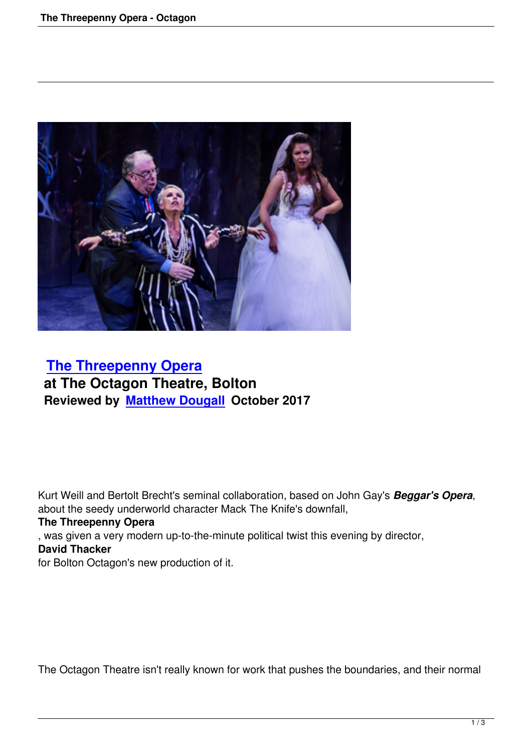

## **The Threepenny Opera at The Octagon Theatre, Bolton [Reviewed by Matthew Dou](the-threepenny-opera-octagon.html)gall October 2017**

Kurt Weill and Bertolt Brecht's seminal collaboration, based on John Gay's *Beggar's Opera*, about the seedy underworld character Mack The Knife's downfall,

## **The Threepenny Opera**

, was given a very modern up-to-the-minute political twist this evening by director, **David Thacker** for Bolton Octagon's new production of it.

The Octagon Theatre isn't really known for work that pushes the boundaries, and their normal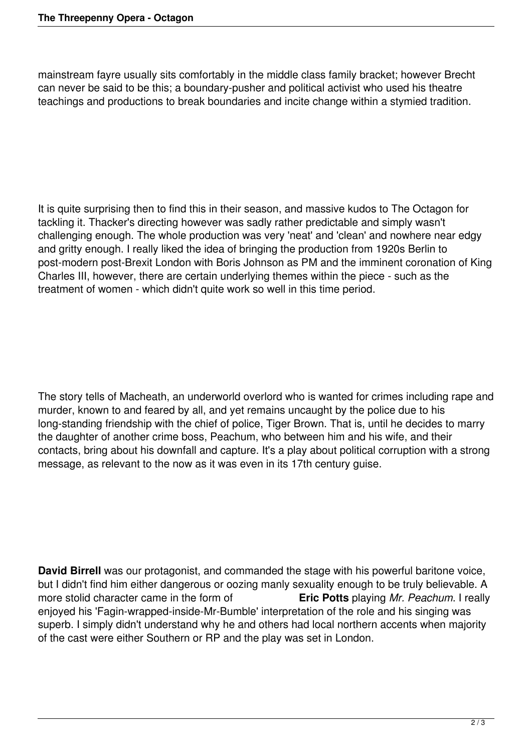mainstream fayre usually sits comfortably in the middle class family bracket; however Brecht can never be said to be this; a boundary-pusher and political activist who used his theatre teachings and productions to break boundaries and incite change within a stymied tradition.

It is quite surprising then to find this in their season, and massive kudos to The Octagon for tackling it. Thacker's directing however was sadly rather predictable and simply wasn't challenging enough. The whole production was very 'neat' and 'clean' and nowhere near edgy and gritty enough. I really liked the idea of bringing the production from 1920s Berlin to product a comparison post-Brexit London with Boris Johnson as PM and the imminent coronation of King Charles III, however, there are certain underlying themes within the piece - such as the treatment of women - which didn't quite work so well in this time period.

The story tells of Macheath, an underworld overlord who is wanted for crimes including rape and murder, known to and feared by all, and yet remains uncaught by the police due to his long-standing friendship with the chief of police, Tiger Brown. That is, until he decides to marry the daughter of another crime boss, Peachum, who between him and his wife, and their contacts, bring about his downfall and capture. It's a play about political corruption with a strong message, as relevant to the now as it was even in its 17th century guise.

**David Birrell** was our protagonist, and commanded the stage with his powerful baritone voice, but I didn't find him either dangerous or oozing manly sexuality enough to be truly believable. A<br>more stolid character came in the form of **Eric Potts** playing Mr. Peachum. I really more stolid character came in the form of enjoyed his 'Fagin-wrapped-inside-Mr-Bumble' interpretation of the role and his singing was superb. I simply didn't understand why he and others had local northern accents when majority of the cast were either Southern or RP and the play was set in London.